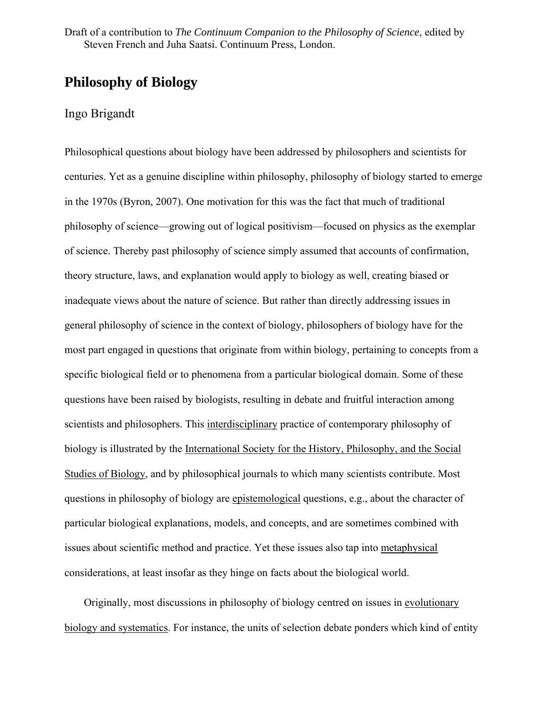Draft of a contribution to *The Continuum Companion to the Philosophy of Science*, edited by Steven French and Juha Saatsi. Continuum Press, London.

# **Philosophy of Biology**

### Ingo Brigandt

Philosophical questions about biology have been addressed by philosophers and scientists for centuries. Yet as a genuine discipline within philosophy, philosophy of biology started to emerge in the 1970s (Byron, 2007). One motivation for this was the fact that much of traditional philosophy of science—growing out of logical positivism—focused on physics as the exemplar of science. Thereby past philosophy of science simply assumed that accounts of confirmation, theory structure, laws, and explanation would apply to biology as well, creating biased or inadequate views about the nature of science. But rather than directly addressing issues in general philosophy of science in the context of biology, philosophers of biology have for the most part engaged in questions that originate from within biology, pertaining to concepts from a specific biological field or to phenomena from a particular biological domain. Some of these questions have been raised by biologists, resulting in debate and fruitful interaction among scientists and philosophers. This interdisciplinary practice of contemporary philosophy of biology is illustrated by the International Society for the History, Philosophy, and the Social Studies of Biology, and by philosophical journals to which many scientists contribute. Most questions in philosophy of biology are epistemological questions, e.g., about the character of particular biological explanations, models, and concepts, and are sometimes combined with issues about scientific method and practice. Yet these issues also tap into metaphysical considerations, at least insofar as they hinge on facts about the biological world.

Originally, most discussions in philosophy of biology centred on issues in evolutionary biology and systematics. For instance, the units of selection debate ponders which kind of entity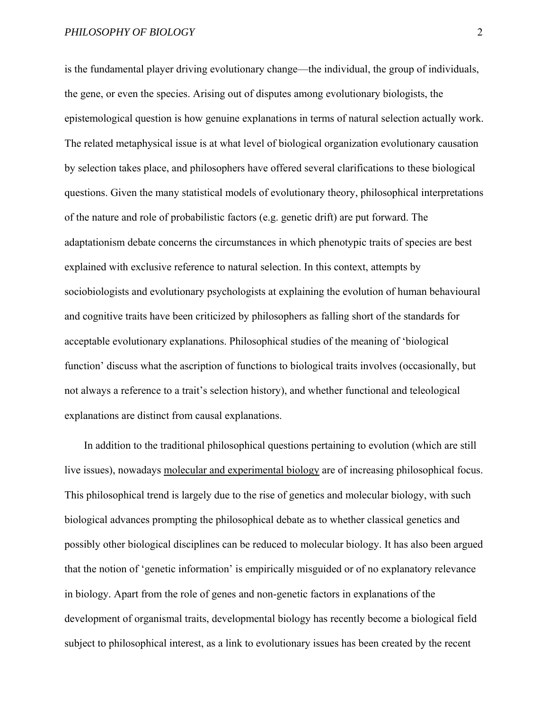is the fundamental player driving evolutionary change—the individual, the group of individuals, the gene, or even the species. Arising out of disputes among evolutionary biologists, the epistemological question is how genuine explanations in terms of natural selection actually work. The related metaphysical issue is at what level of biological organization evolutionary causation by selection takes place, and philosophers have offered several clarifications to these biological questions. Given the many statistical models of evolutionary theory, philosophical interpretations of the nature and role of probabilistic factors (e.g. genetic drift) are put forward. The adaptationism debate concerns the circumstances in which phenotypic traits of species are best explained with exclusive reference to natural selection. In this context, attempts by sociobiologists and evolutionary psychologists at explaining the evolution of human behavioural and cognitive traits have been criticized by philosophers as falling short of the standards for acceptable evolutionary explanations. Philosophical studies of the meaning of 'biological function' discuss what the ascription of functions to biological traits involves (occasionally, but not always a reference to a trait's selection history), and whether functional and teleological explanations are distinct from causal explanations.

In addition to the traditional philosophical questions pertaining to evolution (which are still live issues), nowadays molecular and experimental biology are of increasing philosophical focus. This philosophical trend is largely due to the rise of genetics and molecular biology, with such biological advances prompting the philosophical debate as to whether classical genetics and possibly other biological disciplines can be reduced to molecular biology. It has also been argued that the notion of 'genetic information' is empirically misguided or of no explanatory relevance in biology. Apart from the role of genes and non-genetic factors in explanations of the development of organismal traits, developmental biology has recently become a biological field subject to philosophical interest, as a link to evolutionary issues has been created by the recent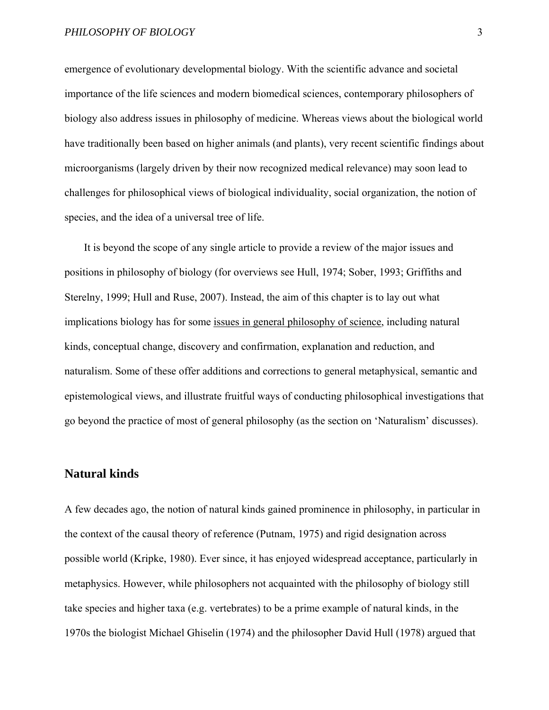emergence of evolutionary developmental biology. With the scientific advance and societal importance of the life sciences and modern biomedical sciences, contemporary philosophers of biology also address issues in philosophy of medicine. Whereas views about the biological world have traditionally been based on higher animals (and plants), very recent scientific findings about microorganisms (largely driven by their now recognized medical relevance) may soon lead to challenges for philosophical views of biological individuality, social organization, the notion of species, and the idea of a universal tree of life.

It is beyond the scope of any single article to provide a review of the major issues and positions in philosophy of biology (for overviews see Hull, 1974; Sober, 1993; Griffiths and Sterelny, 1999; Hull and Ruse, 2007). Instead, the aim of this chapter is to lay out what implications biology has for some issues in general philosophy of science, including natural kinds, conceptual change, discovery and confirmation, explanation and reduction, and naturalism. Some of these offer additions and corrections to general metaphysical, semantic and epistemological views, and illustrate fruitful ways of conducting philosophical investigations that go beyond the practice of most of general philosophy (as the section on 'Naturalism' discusses).

### **Natural kinds**

A few decades ago, the notion of natural kinds gained prominence in philosophy, in particular in the context of the causal theory of reference (Putnam, 1975) and rigid designation across possible world (Kripke, 1980). Ever since, it has enjoyed widespread acceptance, particularly in metaphysics. However, while philosophers not acquainted with the philosophy of biology still take species and higher taxa (e.g. vertebrates) to be a prime example of natural kinds, in the 1970s the biologist Michael Ghiselin (1974) and the philosopher David Hull (1978) argued that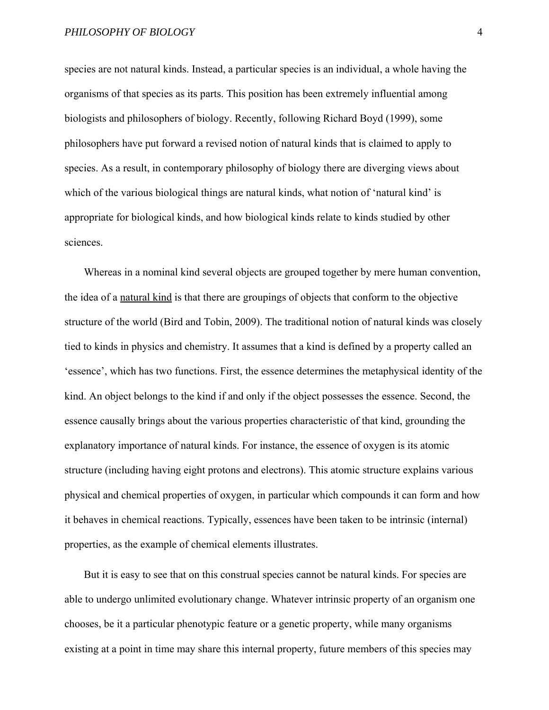species are not natural kinds. Instead, a particular species is an individual, a whole having the organisms of that species as its parts. This position has been extremely influential among biologists and philosophers of biology. Recently, following Richard Boyd (1999), some philosophers have put forward a revised notion of natural kinds that is claimed to apply to species. As a result, in contemporary philosophy of biology there are diverging views about which of the various biological things are natural kinds, what notion of 'natural kind' is appropriate for biological kinds, and how biological kinds relate to kinds studied by other sciences.

Whereas in a nominal kind several objects are grouped together by mere human convention, the idea of a natural kind is that there are groupings of objects that conform to the objective structure of the world (Bird and Tobin, 2009). The traditional notion of natural kinds was closely tied to kinds in physics and chemistry. It assumes that a kind is defined by a property called an 'essence', which has two functions. First, the essence determines the metaphysical identity of the kind. An object belongs to the kind if and only if the object possesses the essence. Second, the essence causally brings about the various properties characteristic of that kind, grounding the explanatory importance of natural kinds. For instance, the essence of oxygen is its atomic structure (including having eight protons and electrons). This atomic structure explains various physical and chemical properties of oxygen, in particular which compounds it can form and how it behaves in chemical reactions. Typically, essences have been taken to be intrinsic (internal) properties, as the example of chemical elements illustrates.

But it is easy to see that on this construal species cannot be natural kinds. For species are able to undergo unlimited evolutionary change. Whatever intrinsic property of an organism one chooses, be it a particular phenotypic feature or a genetic property, while many organisms existing at a point in time may share this internal property, future members of this species may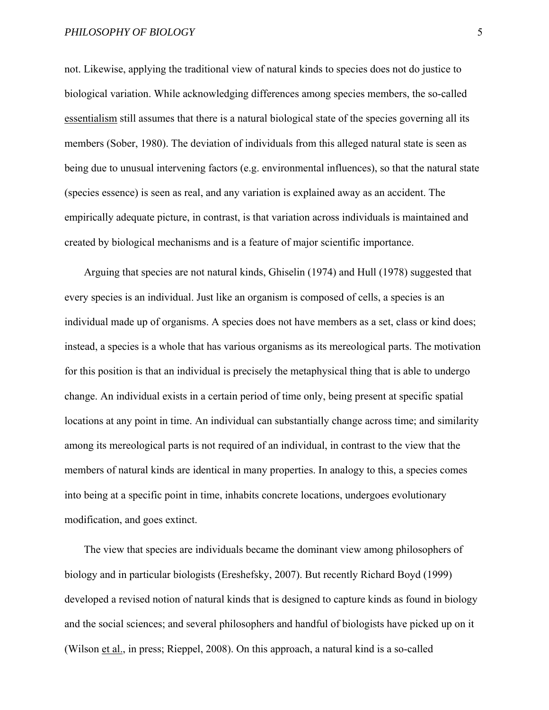#### *PHILOSOPHY OF BIOLOGY* 5

not. Likewise, applying the traditional view of natural kinds to species does not do justice to biological variation. While acknowledging differences among species members, the so-called essentialism still assumes that there is a natural biological state of the species governing all its members (Sober, 1980). The deviation of individuals from this alleged natural state is seen as being due to unusual intervening factors (e.g. environmental influences), so that the natural state (species essence) is seen as real, and any variation is explained away as an accident. The empirically adequate picture, in contrast, is that variation across individuals is maintained and created by biological mechanisms and is a feature of major scientific importance.

Arguing that species are not natural kinds, Ghiselin (1974) and Hull (1978) suggested that every species is an individual. Just like an organism is composed of cells, a species is an individual made up of organisms. A species does not have members as a set, class or kind does; instead, a species is a whole that has various organisms as its mereological parts. The motivation for this position is that an individual is precisely the metaphysical thing that is able to undergo change. An individual exists in a certain period of time only, being present at specific spatial locations at any point in time. An individual can substantially change across time; and similarity among its mereological parts is not required of an individual, in contrast to the view that the members of natural kinds are identical in many properties. In analogy to this, a species comes into being at a specific point in time, inhabits concrete locations, undergoes evolutionary modification, and goes extinct.

The view that species are individuals became the dominant view among philosophers of biology and in particular biologists (Ereshefsky, 2007). But recently Richard Boyd (1999) developed a revised notion of natural kinds that is designed to capture kinds as found in biology and the social sciences; and several philosophers and handful of biologists have picked up on it (Wilson et al., in press; Rieppel, 2008). On this approach, a natural kind is a so-called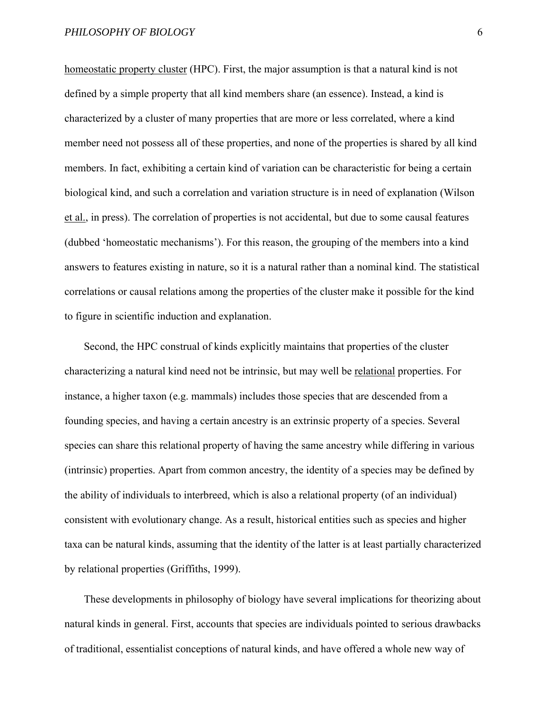homeostatic property cluster (HPC). First, the major assumption is that a natural kind is not defined by a simple property that all kind members share (an essence). Instead, a kind is characterized by a cluster of many properties that are more or less correlated, where a kind member need not possess all of these properties, and none of the properties is shared by all kind members. In fact, exhibiting a certain kind of variation can be characteristic for being a certain biological kind, and such a correlation and variation structure is in need of explanation (Wilson et al., in press). The correlation of properties is not accidental, but due to some causal features (dubbed 'homeostatic mechanisms'). For this reason, the grouping of the members into a kind answers to features existing in nature, so it is a natural rather than a nominal kind. The statistical correlations or causal relations among the properties of the cluster make it possible for the kind to figure in scientific induction and explanation.

Second, the HPC construal of kinds explicitly maintains that properties of the cluster characterizing a natural kind need not be intrinsic, but may well be relational properties. For instance, a higher taxon (e.g. mammals) includes those species that are descended from a founding species, and having a certain ancestry is an extrinsic property of a species. Several species can share this relational property of having the same ancestry while differing in various (intrinsic) properties. Apart from common ancestry, the identity of a species may be defined by the ability of individuals to interbreed, which is also a relational property (of an individual) consistent with evolutionary change. As a result, historical entities such as species and higher taxa can be natural kinds, assuming that the identity of the latter is at least partially characterized by relational properties (Griffiths, 1999).

These developments in philosophy of biology have several implications for theorizing about natural kinds in general. First, accounts that species are individuals pointed to serious drawbacks of traditional, essentialist conceptions of natural kinds, and have offered a whole new way of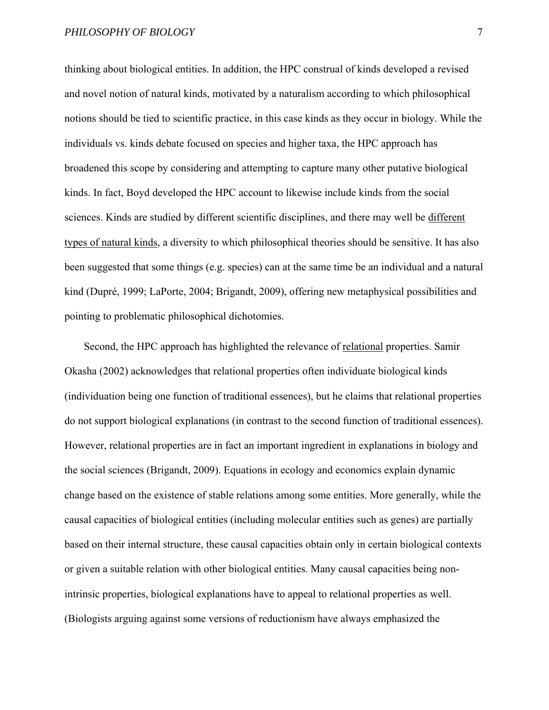thinking about biological entities. In addition, the HPC construal of kinds developed a revised and novel notion of natural kinds, motivated by a naturalism according to which philosophical notions should be tied to scientific practice, in this case kinds as they occur in biology. While the individuals vs. kinds debate focused on species and higher taxa, the HPC approach has broadened this scope by considering and attempting to capture many other putative biological kinds. In fact, Boyd developed the HPC account to likewise include kinds from the social sciences. Kinds are studied by different scientific disciplines, and there may well be different types of natural kinds, a diversity to which philosophical theories should be sensitive. It has also been suggested that some things (e.g. species) can at the same time be an individual and a natural kind (Dupré, 1999; LaPorte, 2004; Brigandt, 2009), offering new metaphysical possibilities and pointing to problematic philosophical dichotomies.

Second, the HPC approach has highlighted the relevance of relational properties. Samir Okasha (2002) acknowledges that relational properties often individuate biological kinds (individuation being one function of traditional essences), but he claims that relational properties do not support biological explanations (in contrast to the second function of traditional essences). However, relational properties are in fact an important ingredient in explanations in biology and the social sciences (Brigandt, 2009). Equations in ecology and economics explain dynamic change based on the existence of stable relations among some entities. More generally, while the causal capacities of biological entities (including molecular entities such as genes) are partially based on their internal structure, these causal capacities obtain only in certain biological contexts or given a suitable relation with other biological entities. Many causal capacities being nonintrinsic properties, biological explanations have to appeal to relational properties as well. (Biologists arguing against some versions of reductionism have always emphasized the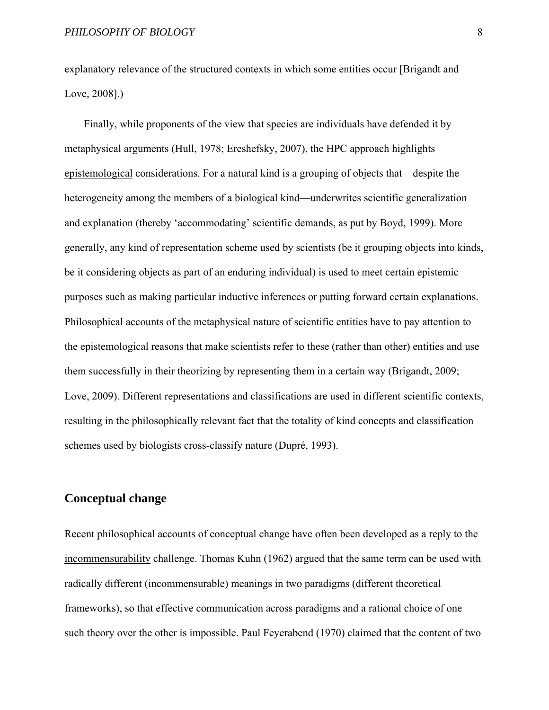explanatory relevance of the structured contexts in which some entities occur [Brigandt and Love, 2008].)

Finally, while proponents of the view that species are individuals have defended it by metaphysical arguments (Hull, 1978; Ereshefsky, 2007), the HPC approach highlights epistemological considerations. For a natural kind is a grouping of objects that—despite the heterogeneity among the members of a biological kind—underwrites scientific generalization and explanation (thereby 'accommodating' scientific demands, as put by Boyd, 1999). More generally, any kind of representation scheme used by scientists (be it grouping objects into kinds, be it considering objects as part of an enduring individual) is used to meet certain epistemic purposes such as making particular inductive inferences or putting forward certain explanations. Philosophical accounts of the metaphysical nature of scientific entities have to pay attention to the epistemological reasons that make scientists refer to these (rather than other) entities and use them successfully in their theorizing by representing them in a certain way (Brigandt, 2009; Love, 2009). Different representations and classifications are used in different scientific contexts, resulting in the philosophically relevant fact that the totality of kind concepts and classification schemes used by biologists cross-classify nature (Dupré, 1993).

### **Conceptual change**

Recent philosophical accounts of conceptual change have often been developed as a reply to the incommensurability challenge. Thomas Kuhn (1962) argued that the same term can be used with radically different (incommensurable) meanings in two paradigms (different theoretical frameworks), so that effective communication across paradigms and a rational choice of one such theory over the other is impossible. Paul Feyerabend (1970) claimed that the content of two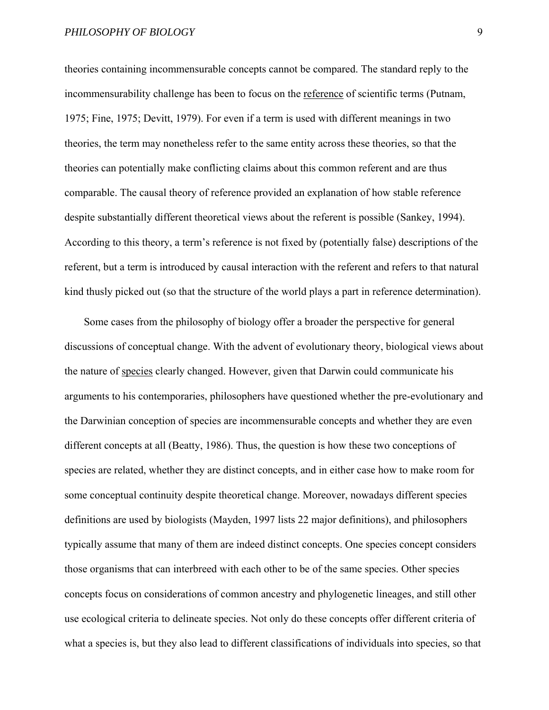theories containing incommensurable concepts cannot be compared. The standard reply to the incommensurability challenge has been to focus on the reference of scientific terms (Putnam, 1975; Fine, 1975; Devitt, 1979). For even if a term is used with different meanings in two theories, the term may nonetheless refer to the same entity across these theories, so that the theories can potentially make conflicting claims about this common referent and are thus comparable. The causal theory of reference provided an explanation of how stable reference despite substantially different theoretical views about the referent is possible (Sankey, 1994). According to this theory, a term's reference is not fixed by (potentially false) descriptions of the referent, but a term is introduced by causal interaction with the referent and refers to that natural kind thusly picked out (so that the structure of the world plays a part in reference determination).

Some cases from the philosophy of biology offer a broader the perspective for general discussions of conceptual change. With the advent of evolutionary theory, biological views about the nature of species clearly changed. However, given that Darwin could communicate his arguments to his contemporaries, philosophers have questioned whether the pre-evolutionary and the Darwinian conception of species are incommensurable concepts and whether they are even different concepts at all (Beatty, 1986). Thus, the question is how these two conceptions of species are related, whether they are distinct concepts, and in either case how to make room for some conceptual continuity despite theoretical change. Moreover, nowadays different species definitions are used by biologists (Mayden, 1997 lists 22 major definitions), and philosophers typically assume that many of them are indeed distinct concepts. One species concept considers those organisms that can interbreed with each other to be of the same species. Other species concepts focus on considerations of common ancestry and phylogenetic lineages, and still other use ecological criteria to delineate species. Not only do these concepts offer different criteria of what a species is, but they also lead to different classifications of individuals into species, so that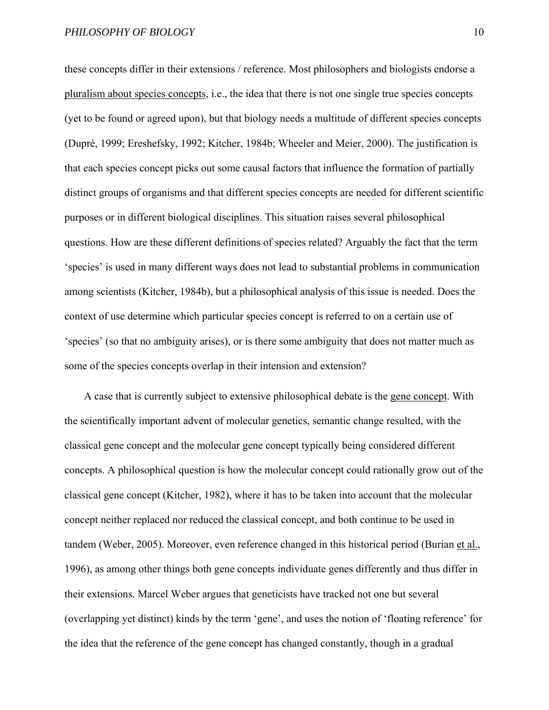these concepts differ in their extensions / reference. Most philosophers and biologists endorse a pluralism about species concepts, i.e., the idea that there is not one single true species concepts (yet to be found or agreed upon), but that biology needs a multitude of different species concepts (Dupré, 1999; Ereshefsky, 1992; Kitcher, 1984b; Wheeler and Meier, 2000). The justification is that each species concept picks out some causal factors that influence the formation of partially distinct groups of organisms and that different species concepts are needed for different scientific purposes or in different biological disciplines. This situation raises several philosophical questions. How are these different definitions of species related? Arguably the fact that the term 'species' is used in many different ways does not lead to substantial problems in communication among scientists (Kitcher, 1984b), but a philosophical analysis of this issue is needed. Does the context of use determine which particular species concept is referred to on a certain use of 'species' (so that no ambiguity arises), or is there some ambiguity that does not matter much as some of the species concepts overlap in their intension and extension?

A case that is currently subject to extensive philosophical debate is the gene concept. With the scientifically important advent of molecular genetics, semantic change resulted, with the classical gene concept and the molecular gene concept typically being considered different concepts. A philosophical question is how the molecular concept could rationally grow out of the classical gene concept (Kitcher, 1982), where it has to be taken into account that the molecular concept neither replaced nor reduced the classical concept, and both continue to be used in tandem (Weber, 2005). Moreover, even reference changed in this historical period (Burian et al., 1996), as among other things both gene concepts individuate genes differently and thus differ in their extensions. Marcel Weber argues that geneticists have tracked not one but several (overlapping yet distinct) kinds by the term 'gene', and uses the notion of 'floating reference' for the idea that the reference of the gene concept has changed constantly, though in a gradual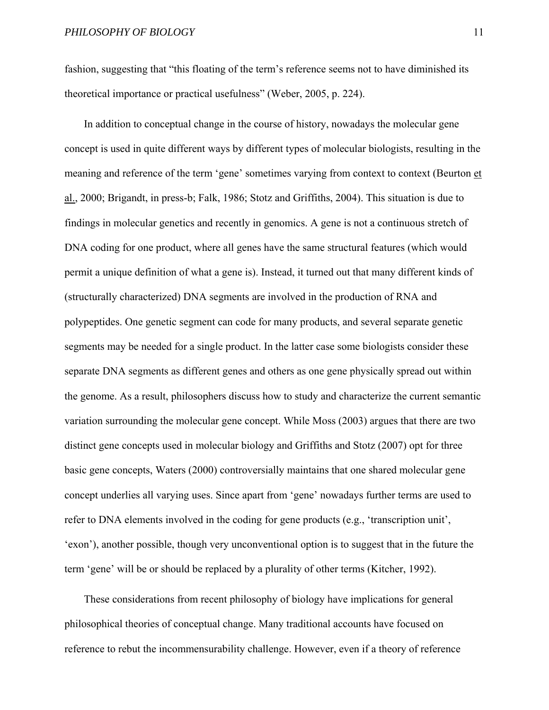fashion, suggesting that "this floating of the term's reference seems not to have diminished its theoretical importance or practical usefulness" (Weber, 2005, p. 224).

In addition to conceptual change in the course of history, nowadays the molecular gene concept is used in quite different ways by different types of molecular biologists, resulting in the meaning and reference of the term 'gene' sometimes varying from context to context (Beurton et al., 2000; Brigandt, in press-b; Falk, 1986; Stotz and Griffiths, 2004). This situation is due to findings in molecular genetics and recently in genomics. A gene is not a continuous stretch of DNA coding for one product, where all genes have the same structural features (which would permit a unique definition of what a gene is). Instead, it turned out that many different kinds of (structurally characterized) DNA segments are involved in the production of RNA and polypeptides. One genetic segment can code for many products, and several separate genetic segments may be needed for a single product. In the latter case some biologists consider these separate DNA segments as different genes and others as one gene physically spread out within the genome. As a result, philosophers discuss how to study and characterize the current semantic variation surrounding the molecular gene concept. While Moss (2003) argues that there are two distinct gene concepts used in molecular biology and Griffiths and Stotz (2007) opt for three basic gene concepts, Waters (2000) controversially maintains that one shared molecular gene concept underlies all varying uses. Since apart from 'gene' nowadays further terms are used to refer to DNA elements involved in the coding for gene products (e.g., 'transcription unit', 'exon'), another possible, though very unconventional option is to suggest that in the future the term 'gene' will be or should be replaced by a plurality of other terms (Kitcher, 1992).

These considerations from recent philosophy of biology have implications for general philosophical theories of conceptual change. Many traditional accounts have focused on reference to rebut the incommensurability challenge. However, even if a theory of reference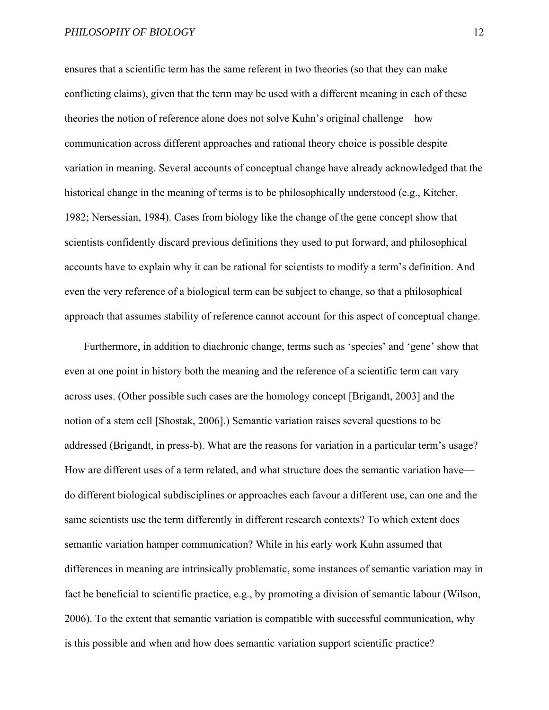ensures that a scientific term has the same referent in two theories (so that they can make conflicting claims), given that the term may be used with a different meaning in each of these theories the notion of reference alone does not solve Kuhn's original challenge—how communication across different approaches and rational theory choice is possible despite variation in meaning. Several accounts of conceptual change have already acknowledged that the historical change in the meaning of terms is to be philosophically understood (e.g., Kitcher, 1982; Nersessian, 1984). Cases from biology like the change of the gene concept show that scientists confidently discard previous definitions they used to put forward, and philosophical accounts have to explain why it can be rational for scientists to modify a term's definition. And even the very reference of a biological term can be subject to change, so that a philosophical approach that assumes stability of reference cannot account for this aspect of conceptual change.

Furthermore, in addition to diachronic change, terms such as 'species' and 'gene' show that even at one point in history both the meaning and the reference of a scientific term can vary across uses. (Other possible such cases are the homology concept [Brigandt, 2003] and the notion of a stem cell [Shostak, 2006].) Semantic variation raises several questions to be addressed (Brigandt, in press-b). What are the reasons for variation in a particular term's usage? How are different uses of a term related, and what structure does the semantic variation have do different biological subdisciplines or approaches each favour a different use, can one and the same scientists use the term differently in different research contexts? To which extent does semantic variation hamper communication? While in his early work Kuhn assumed that differences in meaning are intrinsically problematic, some instances of semantic variation may in fact be beneficial to scientific practice, e.g., by promoting a division of semantic labour (Wilson, 2006). To the extent that semantic variation is compatible with successful communication, why is this possible and when and how does semantic variation support scientific practice?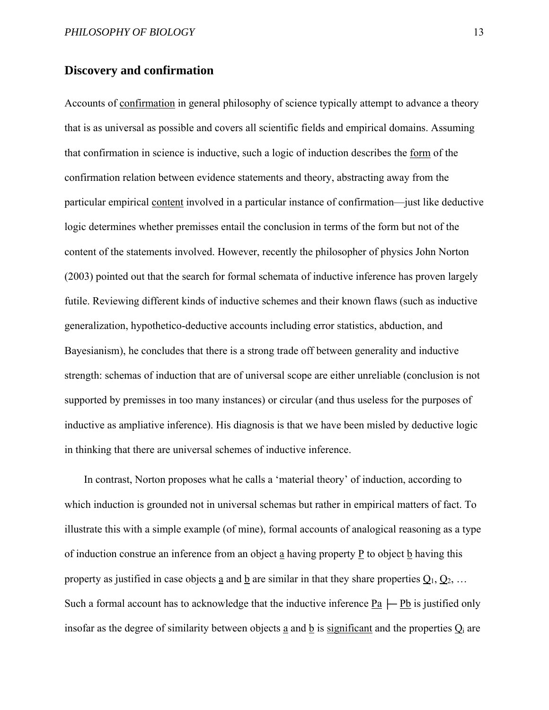# **Discovery and confirmation**

Accounts of confirmation in general philosophy of science typically attempt to advance a theory that is as universal as possible and covers all scientific fields and empirical domains. Assuming that confirmation in science is inductive, such a logic of induction describes the form of the confirmation relation between evidence statements and theory, abstracting away from the particular empirical content involved in a particular instance of confirmation—just like deductive logic determines whether premisses entail the conclusion in terms of the form but not of the content of the statements involved. However, recently the philosopher of physics John Norton (2003) pointed out that the search for formal schemata of inductive inference has proven largely futile. Reviewing different kinds of inductive schemes and their known flaws (such as inductive generalization, hypothetico-deductive accounts including error statistics, abduction, and Bayesianism), he concludes that there is a strong trade off between generality and inductive strength: schemas of induction that are of universal scope are either unreliable (conclusion is not supported by premisses in too many instances) or circular (and thus useless for the purposes of inductive as ampliative inference). His diagnosis is that we have been misled by deductive logic in thinking that there are universal schemes of inductive inference.

In contrast, Norton proposes what he calls a 'material theory' of induction, according to which induction is grounded not in universal schemas but rather in empirical matters of fact. To illustrate this with a simple example (of mine), formal accounts of analogical reasoning as a type of induction construe an inference from an object a having property P to object b having this property as justified in case objects <u>a</u> and <u>b</u> are similar in that they share properties  $Q_1, Q_2, ...$ Such a formal account has to acknowledge that the inductive inference  $\underline{Pa} \vdash \underline{Pb}$  is justified only insofar as the degree of similarity between objects a and b is significant and the properties  $Q_i$  are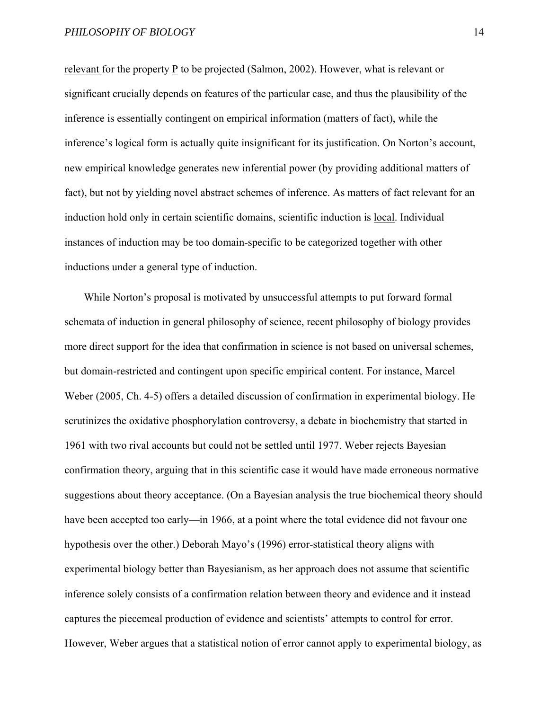relevant for the property  $\underline{P}$  to be projected (Salmon, 2002). However, what is relevant or significant crucially depends on features of the particular case, and thus the plausibility of the inference is essentially contingent on empirical information (matters of fact), while the inference's logical form is actually quite insignificant for its justification. On Norton's account, new empirical knowledge generates new inferential power (by providing additional matters of fact), but not by yielding novel abstract schemes of inference. As matters of fact relevant for an induction hold only in certain scientific domains, scientific induction is local. Individual instances of induction may be too domain-specific to be categorized together with other inductions under a general type of induction.

While Norton's proposal is motivated by unsuccessful attempts to put forward formal schemata of induction in general philosophy of science, recent philosophy of biology provides more direct support for the idea that confirmation in science is not based on universal schemes, but domain-restricted and contingent upon specific empirical content. For instance, Marcel Weber (2005, Ch. 4-5) offers a detailed discussion of confirmation in experimental biology. He scrutinizes the oxidative phosphorylation controversy, a debate in biochemistry that started in 1961 with two rival accounts but could not be settled until 1977. Weber rejects Bayesian confirmation theory, arguing that in this scientific case it would have made erroneous normative suggestions about theory acceptance. (On a Bayesian analysis the true biochemical theory should have been accepted too early—in 1966, at a point where the total evidence did not favour one hypothesis over the other.) Deborah Mayo's (1996) error-statistical theory aligns with experimental biology better than Bayesianism, as her approach does not assume that scientific inference solely consists of a confirmation relation between theory and evidence and it instead captures the piecemeal production of evidence and scientists' attempts to control for error. However, Weber argues that a statistical notion of error cannot apply to experimental biology, as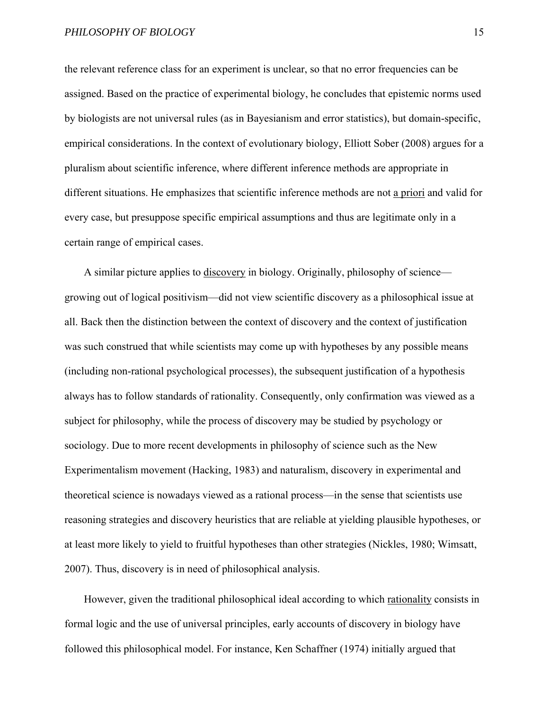#### *PHILOSOPHY OF BIOLOGY* 15

the relevant reference class for an experiment is unclear, so that no error frequencies can be assigned. Based on the practice of experimental biology, he concludes that epistemic norms used by biologists are not universal rules (as in Bayesianism and error statistics), but domain-specific, empirical considerations. In the context of evolutionary biology, Elliott Sober (2008) argues for a pluralism about scientific inference, where different inference methods are appropriate in different situations. He emphasizes that scientific inference methods are not a priori and valid for every case, but presuppose specific empirical assumptions and thus are legitimate only in a certain range of empirical cases.

A similar picture applies to discovery in biology. Originally, philosophy of science growing out of logical positivism—did not view scientific discovery as a philosophical issue at all. Back then the distinction between the context of discovery and the context of justification was such construed that while scientists may come up with hypotheses by any possible means (including non-rational psychological processes), the subsequent justification of a hypothesis always has to follow standards of rationality. Consequently, only confirmation was viewed as a subject for philosophy, while the process of discovery may be studied by psychology or sociology. Due to more recent developments in philosophy of science such as the New Experimentalism movement (Hacking, 1983) and naturalism, discovery in experimental and theoretical science is nowadays viewed as a rational process—in the sense that scientists use reasoning strategies and discovery heuristics that are reliable at yielding plausible hypotheses, or at least more likely to yield to fruitful hypotheses than other strategies (Nickles, 1980; Wimsatt, 2007). Thus, discovery is in need of philosophical analysis.

However, given the traditional philosophical ideal according to which rationality consists in formal logic and the use of universal principles, early accounts of discovery in biology have followed this philosophical model. For instance, Ken Schaffner (1974) initially argued that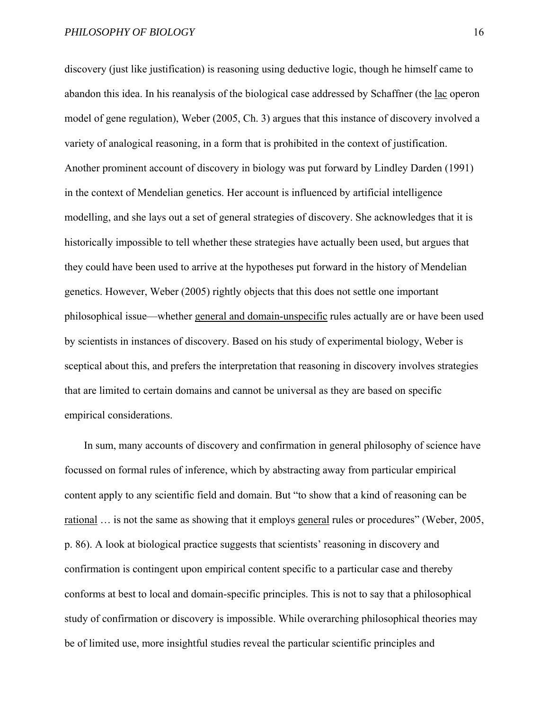discovery (just like justification) is reasoning using deductive logic, though he himself came to abandon this idea. In his reanalysis of the biological case addressed by Schaffner (the lac operon model of gene regulation), Weber (2005, Ch. 3) argues that this instance of discovery involved a variety of analogical reasoning, in a form that is prohibited in the context of justification. Another prominent account of discovery in biology was put forward by Lindley Darden (1991) in the context of Mendelian genetics. Her account is influenced by artificial intelligence modelling, and she lays out a set of general strategies of discovery. She acknowledges that it is historically impossible to tell whether these strategies have actually been used, but argues that they could have been used to arrive at the hypotheses put forward in the history of Mendelian genetics. However, Weber (2005) rightly objects that this does not settle one important philosophical issue—whether general and domain-unspecific rules actually are or have been used by scientists in instances of discovery. Based on his study of experimental biology, Weber is sceptical about this, and prefers the interpretation that reasoning in discovery involves strategies that are limited to certain domains and cannot be universal as they are based on specific empirical considerations.

In sum, many accounts of discovery and confirmation in general philosophy of science have focussed on formal rules of inference, which by abstracting away from particular empirical content apply to any scientific field and domain. But "to show that a kind of reasoning can be rational … is not the same as showing that it employs general rules or procedures" (Weber, 2005, p. 86). A look at biological practice suggests that scientists' reasoning in discovery and confirmation is contingent upon empirical content specific to a particular case and thereby conforms at best to local and domain-specific principles. This is not to say that a philosophical study of confirmation or discovery is impossible. While overarching philosophical theories may be of limited use, more insightful studies reveal the particular scientific principles and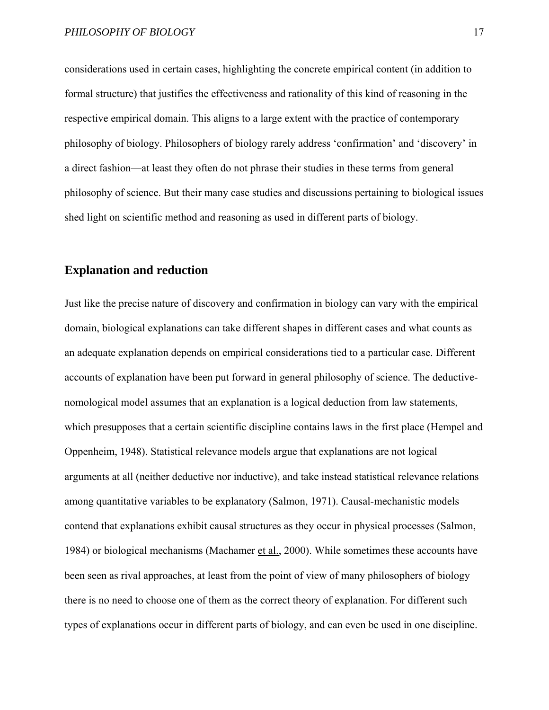considerations used in certain cases, highlighting the concrete empirical content (in addition to formal structure) that justifies the effectiveness and rationality of this kind of reasoning in the respective empirical domain. This aligns to a large extent with the practice of contemporary philosophy of biology. Philosophers of biology rarely address 'confirmation' and 'discovery' in a direct fashion—at least they often do not phrase their studies in these terms from general philosophy of science. But their many case studies and discussions pertaining to biological issues shed light on scientific method and reasoning as used in different parts of biology.

# **Explanation and reduction**

Just like the precise nature of discovery and confirmation in biology can vary with the empirical domain, biological explanations can take different shapes in different cases and what counts as an adequate explanation depends on empirical considerations tied to a particular case. Different accounts of explanation have been put forward in general philosophy of science. The deductivenomological model assumes that an explanation is a logical deduction from law statements, which presupposes that a certain scientific discipline contains laws in the first place (Hempel and Oppenheim, 1948). Statistical relevance models argue that explanations are not logical arguments at all (neither deductive nor inductive), and take instead statistical relevance relations among quantitative variables to be explanatory (Salmon, 1971). Causal-mechanistic models contend that explanations exhibit causal structures as they occur in physical processes (Salmon, 1984) or biological mechanisms (Machamer et al., 2000). While sometimes these accounts have been seen as rival approaches, at least from the point of view of many philosophers of biology there is no need to choose one of them as the correct theory of explanation. For different such types of explanations occur in different parts of biology, and can even be used in one discipline.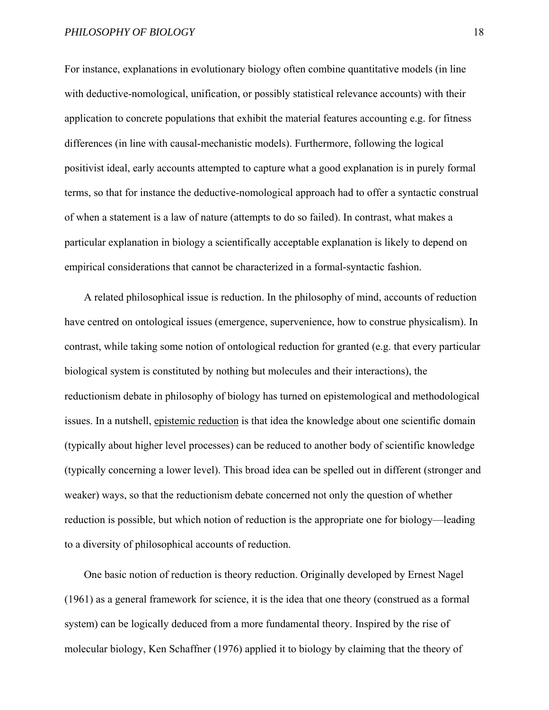#### *PHILOSOPHY OF BIOLOGY* 18

For instance, explanations in evolutionary biology often combine quantitative models (in line with deductive-nomological, unification, or possibly statistical relevance accounts) with their application to concrete populations that exhibit the material features accounting e.g. for fitness differences (in line with causal-mechanistic models). Furthermore, following the logical positivist ideal, early accounts attempted to capture what a good explanation is in purely formal terms, so that for instance the deductive-nomological approach had to offer a syntactic construal of when a statement is a law of nature (attempts to do so failed). In contrast, what makes a particular explanation in biology a scientifically acceptable explanation is likely to depend on empirical considerations that cannot be characterized in a formal-syntactic fashion.

A related philosophical issue is reduction. In the philosophy of mind, accounts of reduction have centred on ontological issues (emergence, supervenience, how to construe physicalism). In contrast, while taking some notion of ontological reduction for granted (e.g. that every particular biological system is constituted by nothing but molecules and their interactions), the reductionism debate in philosophy of biology has turned on epistemological and methodological issues. In a nutshell, epistemic reduction is that idea the knowledge about one scientific domain (typically about higher level processes) can be reduced to another body of scientific knowledge (typically concerning a lower level). This broad idea can be spelled out in different (stronger and weaker) ways, so that the reductionism debate concerned not only the question of whether reduction is possible, but which notion of reduction is the appropriate one for biology—leading to a diversity of philosophical accounts of reduction.

One basic notion of reduction is theory reduction. Originally developed by Ernest Nagel (1961) as a general framework for science, it is the idea that one theory (construed as a formal system) can be logically deduced from a more fundamental theory. Inspired by the rise of molecular biology, Ken Schaffner (1976) applied it to biology by claiming that the theory of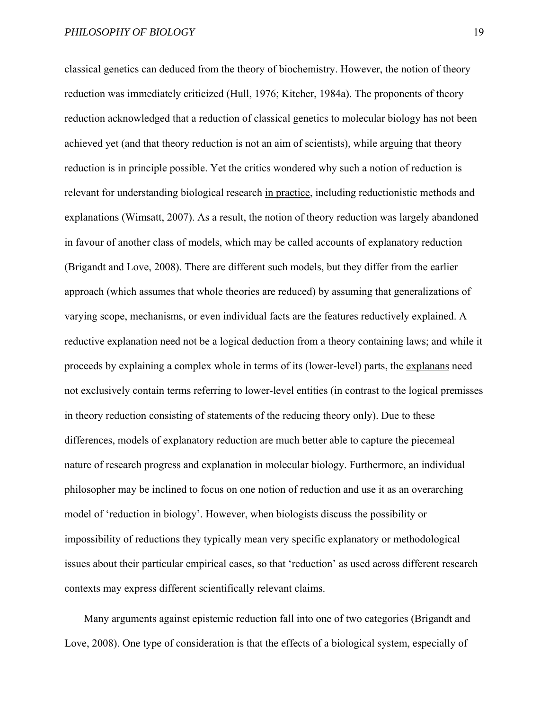classical genetics can deduced from the theory of biochemistry. However, the notion of theory reduction was immediately criticized (Hull, 1976; Kitcher, 1984a). The proponents of theory reduction acknowledged that a reduction of classical genetics to molecular biology has not been achieved yet (and that theory reduction is not an aim of scientists), while arguing that theory reduction is in principle possible. Yet the critics wondered why such a notion of reduction is relevant for understanding biological research in practice, including reductionistic methods and explanations (Wimsatt, 2007). As a result, the notion of theory reduction was largely abandoned in favour of another class of models, which may be called accounts of explanatory reduction (Brigandt and Love, 2008). There are different such models, but they differ from the earlier approach (which assumes that whole theories are reduced) by assuming that generalizations of varying scope, mechanisms, or even individual facts are the features reductively explained. A reductive explanation need not be a logical deduction from a theory containing laws; and while it proceeds by explaining a complex whole in terms of its (lower-level) parts, the explanans need not exclusively contain terms referring to lower-level entities (in contrast to the logical premisses in theory reduction consisting of statements of the reducing theory only). Due to these differences, models of explanatory reduction are much better able to capture the piecemeal nature of research progress and explanation in molecular biology. Furthermore, an individual philosopher may be inclined to focus on one notion of reduction and use it as an overarching model of 'reduction in biology'. However, when biologists discuss the possibility or impossibility of reductions they typically mean very specific explanatory or methodological issues about their particular empirical cases, so that 'reduction' as used across different research contexts may express different scientifically relevant claims.

Many arguments against epistemic reduction fall into one of two categories (Brigandt and Love, 2008). One type of consideration is that the effects of a biological system, especially of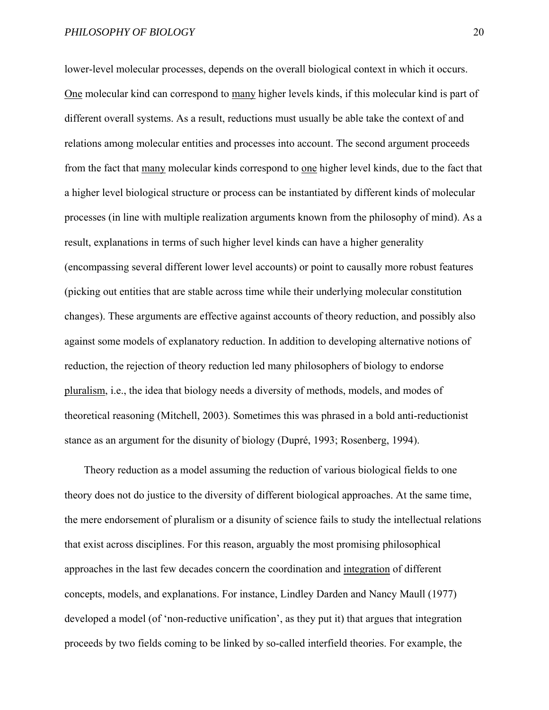lower-level molecular processes, depends on the overall biological context in which it occurs. One molecular kind can correspond to many higher levels kinds, if this molecular kind is part of different overall systems. As a result, reductions must usually be able take the context of and relations among molecular entities and processes into account. The second argument proceeds from the fact that many molecular kinds correspond to one higher level kinds, due to the fact that a higher level biological structure or process can be instantiated by different kinds of molecular processes (in line with multiple realization arguments known from the philosophy of mind). As a result, explanations in terms of such higher level kinds can have a higher generality (encompassing several different lower level accounts) or point to causally more robust features (picking out entities that are stable across time while their underlying molecular constitution changes). These arguments are effective against accounts of theory reduction, and possibly also against some models of explanatory reduction. In addition to developing alternative notions of reduction, the rejection of theory reduction led many philosophers of biology to endorse pluralism, i.e., the idea that biology needs a diversity of methods, models, and modes of theoretical reasoning (Mitchell, 2003). Sometimes this was phrased in a bold anti-reductionist stance as an argument for the disunity of biology (Dupré, 1993; Rosenberg, 1994).

Theory reduction as a model assuming the reduction of various biological fields to one theory does not do justice to the diversity of different biological approaches. At the same time, the mere endorsement of pluralism or a disunity of science fails to study the intellectual relations that exist across disciplines. For this reason, arguably the most promising philosophical approaches in the last few decades concern the coordination and integration of different concepts, models, and explanations. For instance, Lindley Darden and Nancy Maull (1977) developed a model (of 'non-reductive unification', as they put it) that argues that integration proceeds by two fields coming to be linked by so-called interfield theories. For example, the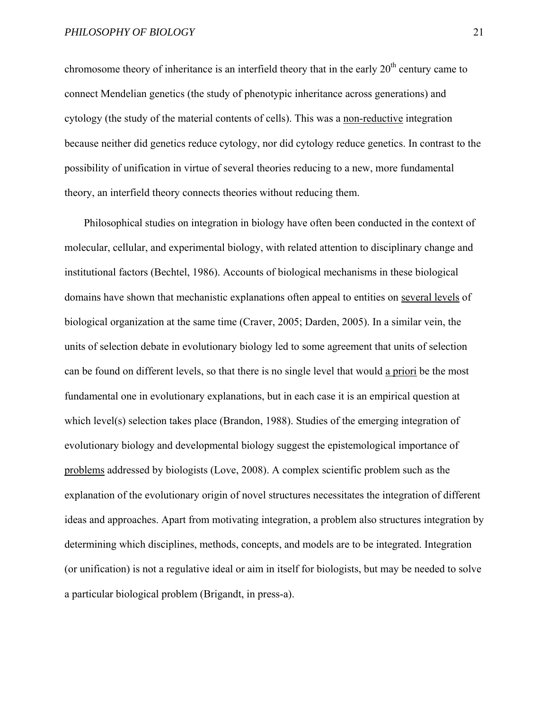chromosome theory of inheritance is an interfield theory that in the early  $20<sup>th</sup>$  century came to connect Mendelian genetics (the study of phenotypic inheritance across generations) and cytology (the study of the material contents of cells). This was a non-reductive integration because neither did genetics reduce cytology, nor did cytology reduce genetics. In contrast to the possibility of unification in virtue of several theories reducing to a new, more fundamental theory, an interfield theory connects theories without reducing them.

Philosophical studies on integration in biology have often been conducted in the context of molecular, cellular, and experimental biology, with related attention to disciplinary change and institutional factors (Bechtel, 1986). Accounts of biological mechanisms in these biological domains have shown that mechanistic explanations often appeal to entities on several levels of biological organization at the same time (Craver, 2005; Darden, 2005). In a similar vein, the units of selection debate in evolutionary biology led to some agreement that units of selection can be found on different levels, so that there is no single level that would a priori be the most fundamental one in evolutionary explanations, but in each case it is an empirical question at which level(s) selection takes place (Brandon, 1988). Studies of the emerging integration of evolutionary biology and developmental biology suggest the epistemological importance of problems addressed by biologists (Love, 2008). A complex scientific problem such as the explanation of the evolutionary origin of novel structures necessitates the integration of different ideas and approaches. Apart from motivating integration, a problem also structures integration by determining which disciplines, methods, concepts, and models are to be integrated. Integration (or unification) is not a regulative ideal or aim in itself for biologists, but may be needed to solve a particular biological problem (Brigandt, in press-a).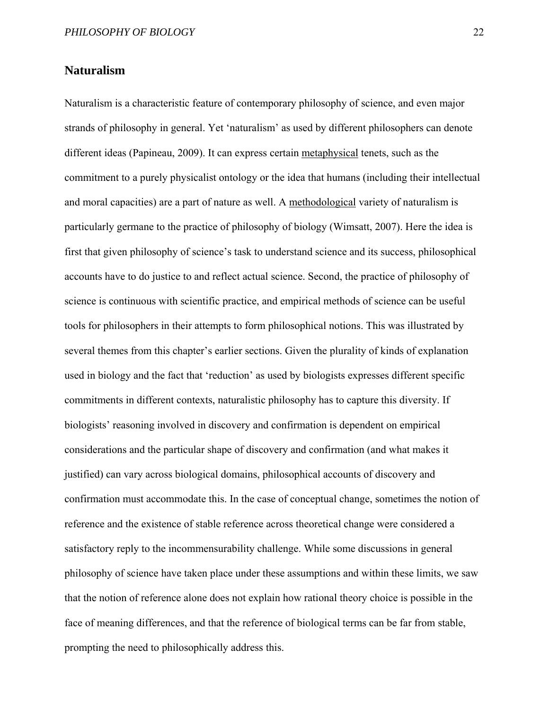# **Naturalism**

Naturalism is a characteristic feature of contemporary philosophy of science, and even major strands of philosophy in general. Yet 'naturalism' as used by different philosophers can denote different ideas (Papineau, 2009). It can express certain metaphysical tenets, such as the commitment to a purely physicalist ontology or the idea that humans (including their intellectual and moral capacities) are a part of nature as well. A methodological variety of naturalism is particularly germane to the practice of philosophy of biology (Wimsatt, 2007). Here the idea is first that given philosophy of science's task to understand science and its success, philosophical accounts have to do justice to and reflect actual science. Second, the practice of philosophy of science is continuous with scientific practice, and empirical methods of science can be useful tools for philosophers in their attempts to form philosophical notions. This was illustrated by several themes from this chapter's earlier sections. Given the plurality of kinds of explanation used in biology and the fact that 'reduction' as used by biologists expresses different specific commitments in different contexts, naturalistic philosophy has to capture this diversity. If biologists' reasoning involved in discovery and confirmation is dependent on empirical considerations and the particular shape of discovery and confirmation (and what makes it justified) can vary across biological domains, philosophical accounts of discovery and confirmation must accommodate this. In the case of conceptual change, sometimes the notion of reference and the existence of stable reference across theoretical change were considered a satisfactory reply to the incommensurability challenge. While some discussions in general philosophy of science have taken place under these assumptions and within these limits, we saw that the notion of reference alone does not explain how rational theory choice is possible in the face of meaning differences, and that the reference of biological terms can be far from stable, prompting the need to philosophically address this.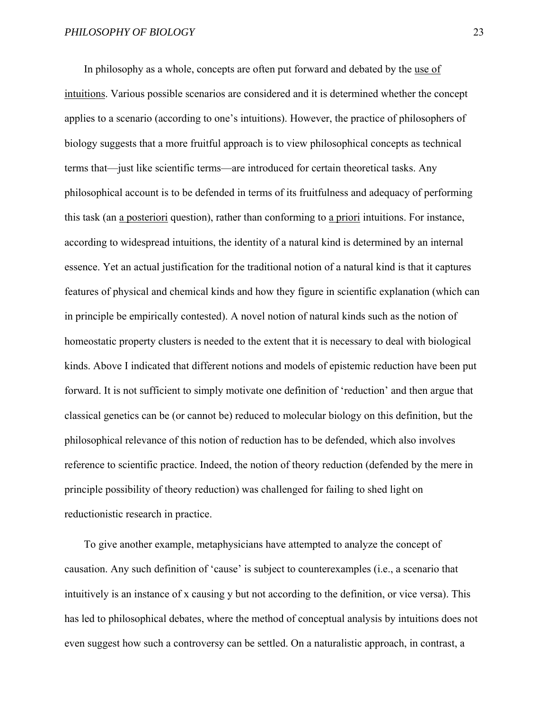In philosophy as a whole, concepts are often put forward and debated by the use of intuitions. Various possible scenarios are considered and it is determined whether the concept applies to a scenario (according to one's intuitions). However, the practice of philosophers of biology suggests that a more fruitful approach is to view philosophical concepts as technical terms that—just like scientific terms—are introduced for certain theoretical tasks. Any philosophical account is to be defended in terms of its fruitfulness and adequacy of performing this task (an a posteriori question), rather than conforming to a priori intuitions. For instance, according to widespread intuitions, the identity of a natural kind is determined by an internal essence. Yet an actual justification for the traditional notion of a natural kind is that it captures features of physical and chemical kinds and how they figure in scientific explanation (which can in principle be empirically contested). A novel notion of natural kinds such as the notion of homeostatic property clusters is needed to the extent that it is necessary to deal with biological kinds. Above I indicated that different notions and models of epistemic reduction have been put forward. It is not sufficient to simply motivate one definition of 'reduction' and then argue that classical genetics can be (or cannot be) reduced to molecular biology on this definition, but the philosophical relevance of this notion of reduction has to be defended, which also involves reference to scientific practice. Indeed, the notion of theory reduction (defended by the mere in principle possibility of theory reduction) was challenged for failing to shed light on reductionistic research in practice.

To give another example, metaphysicians have attempted to analyze the concept of causation. Any such definition of 'cause' is subject to counterexamples (i.e., a scenario that intuitively is an instance of x causing y but not according to the definition, or vice versa). This has led to philosophical debates, where the method of conceptual analysis by intuitions does not even suggest how such a controversy can be settled. On a naturalistic approach, in contrast, a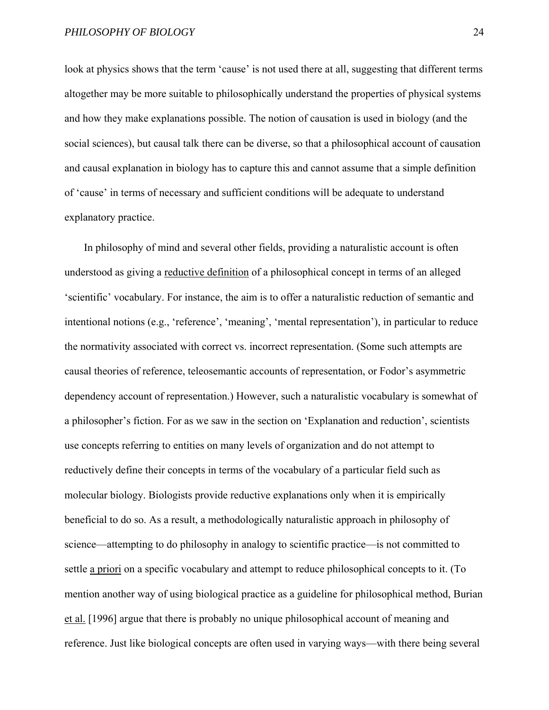look at physics shows that the term 'cause' is not used there at all, suggesting that different terms altogether may be more suitable to philosophically understand the properties of physical systems and how they make explanations possible. The notion of causation is used in biology (and the social sciences), but causal talk there can be diverse, so that a philosophical account of causation and causal explanation in biology has to capture this and cannot assume that a simple definition of 'cause' in terms of necessary and sufficient conditions will be adequate to understand explanatory practice.

In philosophy of mind and several other fields, providing a naturalistic account is often understood as giving a reductive definition of a philosophical concept in terms of an alleged 'scientific' vocabulary. For instance, the aim is to offer a naturalistic reduction of semantic and intentional notions (e.g., 'reference', 'meaning', 'mental representation'), in particular to reduce the normativity associated with correct vs. incorrect representation. (Some such attempts are causal theories of reference, teleosemantic accounts of representation, or Fodor's asymmetric dependency account of representation.) However, such a naturalistic vocabulary is somewhat of a philosopher's fiction. For as we saw in the section on 'Explanation and reduction', scientists use concepts referring to entities on many levels of organization and do not attempt to reductively define their concepts in terms of the vocabulary of a particular field such as molecular biology. Biologists provide reductive explanations only when it is empirically beneficial to do so. As a result, a methodologically naturalistic approach in philosophy of science—attempting to do philosophy in analogy to scientific practice—is not committed to settle a priori on a specific vocabulary and attempt to reduce philosophical concepts to it. (To mention another way of using biological practice as a guideline for philosophical method, Burian et al. [1996] argue that there is probably no unique philosophical account of meaning and reference. Just like biological concepts are often used in varying ways—with there being several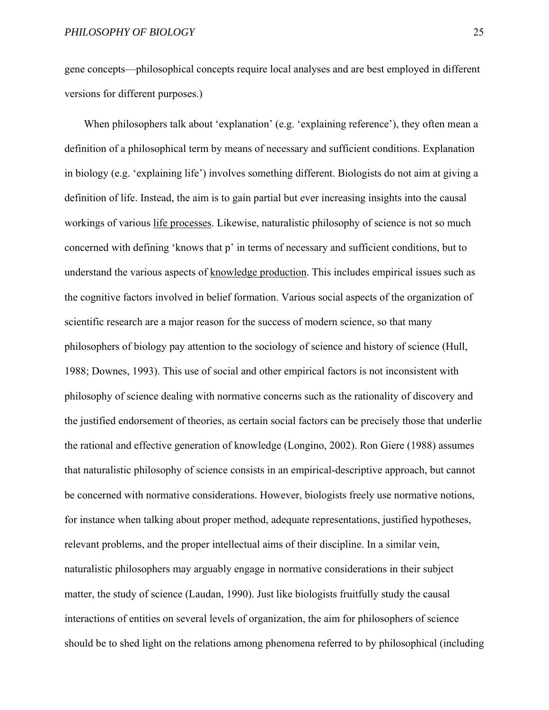gene concepts—philosophical concepts require local analyses and are best employed in different versions for different purposes.)

When philosophers talk about 'explanation' (e.g. 'explaining reference'), they often mean a definition of a philosophical term by means of necessary and sufficient conditions. Explanation in biology (e.g. 'explaining life') involves something different. Biologists do not aim at giving a definition of life. Instead, the aim is to gain partial but ever increasing insights into the causal workings of various life processes. Likewise, naturalistic philosophy of science is not so much concerned with defining 'knows that p' in terms of necessary and sufficient conditions, but to understand the various aspects of knowledge production. This includes empirical issues such as the cognitive factors involved in belief formation. Various social aspects of the organization of scientific research are a major reason for the success of modern science, so that many philosophers of biology pay attention to the sociology of science and history of science (Hull, 1988; Downes, 1993). This use of social and other empirical factors is not inconsistent with philosophy of science dealing with normative concerns such as the rationality of discovery and the justified endorsement of theories, as certain social factors can be precisely those that underlie the rational and effective generation of knowledge (Longino, 2002). Ron Giere (1988) assumes that naturalistic philosophy of science consists in an empirical-descriptive approach, but cannot be concerned with normative considerations. However, biologists freely use normative notions, for instance when talking about proper method, adequate representations, justified hypotheses, relevant problems, and the proper intellectual aims of their discipline. In a similar vein, naturalistic philosophers may arguably engage in normative considerations in their subject matter, the study of science (Laudan, 1990). Just like biologists fruitfully study the causal interactions of entities on several levels of organization, the aim for philosophers of science should be to shed light on the relations among phenomena referred to by philosophical (including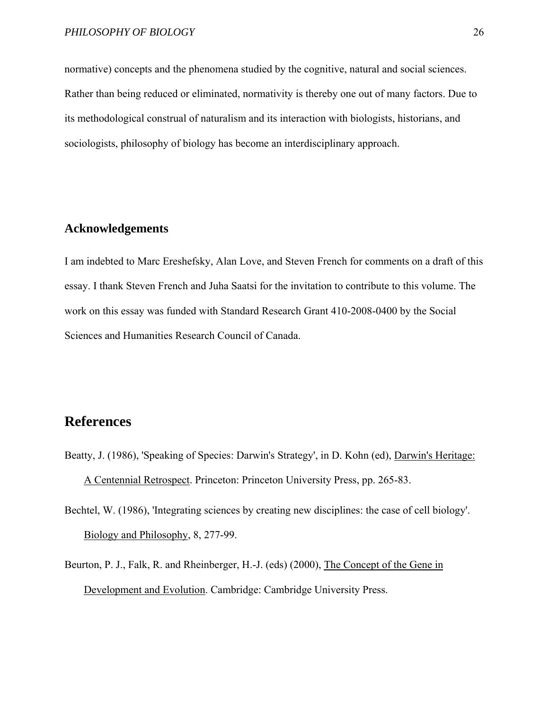normative) concepts and the phenomena studied by the cognitive, natural and social sciences. Rather than being reduced or eliminated, normativity is thereby one out of many factors. Due to its methodological construal of naturalism and its interaction with biologists, historians, and sociologists, philosophy of biology has become an interdisciplinary approach.

# **Acknowledgements**

I am indebted to Marc Ereshefsky, Alan Love, and Steven French for comments on a draft of this essay. I thank Steven French and Juha Saatsi for the invitation to contribute to this volume. The work on this essay was funded with Standard Research Grant 410-2008-0400 by the Social Sciences and Humanities Research Council of Canada.

# **References**

- Beatty, J. (1986), 'Speaking of Species: Darwin's Strategy', in D. Kohn (ed), Darwin's Heritage: A Centennial Retrospect. Princeton: Princeton University Press, pp. 265-83.
- Bechtel, W. (1986), 'Integrating sciences by creating new disciplines: the case of cell biology'. Biology and Philosophy, 8, 277-99.
- Beurton, P. J., Falk, R. and Rheinberger, H.-J. (eds) (2000), The Concept of the Gene in Development and Evolution. Cambridge: Cambridge University Press.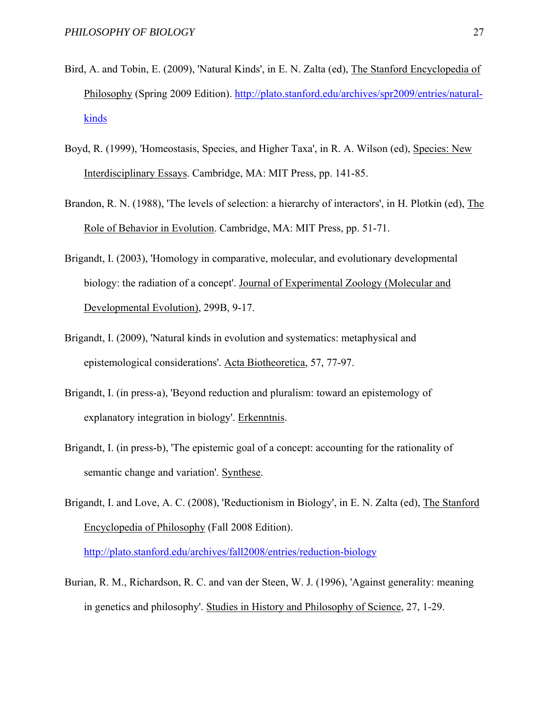- Bird, A. and Tobin, E. (2009), 'Natural Kinds', in E. N. Zalta (ed), The Stanford Encyclopedia of Philosophy (Spring 2009 Edition). http://plato.stanford.edu/archives/spr2009/entries/naturalkinds
- Boyd, R. (1999), 'Homeostasis, Species, and Higher Taxa', in R. A. Wilson (ed), Species: New Interdisciplinary Essays. Cambridge, MA: MIT Press, pp. 141-85.
- Brandon, R. N. (1988), 'The levels of selection: a hierarchy of interactors', in H. Plotkin (ed), The Role of Behavior in Evolution. Cambridge, MA: MIT Press, pp. 51-71.
- Brigandt, I. (2003), 'Homology in comparative, molecular, and evolutionary developmental biology: the radiation of a concept'. Journal of Experimental Zoology (Molecular and Developmental Evolution), 299B, 9-17.
- Brigandt, I. (2009), 'Natural kinds in evolution and systematics: metaphysical and epistemological considerations'. Acta Biotheoretica, 57, 77-97.
- Brigandt, I. (in press-a), 'Beyond reduction and pluralism: toward an epistemology of explanatory integration in biology'. Erkenntnis.
- Brigandt, I. (in press-b), 'The epistemic goal of a concept: accounting for the rationality of semantic change and variation'. Synthese.
- Brigandt, I. and Love, A. C. (2008), 'Reductionism in Biology', in E. N. Zalta (ed), The Stanford Encyclopedia of Philosophy (Fall 2008 Edition).

http://plato.stanford.edu/archives/fall2008/entries/reduction-biology

Burian, R. M., Richardson, R. C. and van der Steen, W. J. (1996), 'Against generality: meaning in genetics and philosophy'. Studies in History and Philosophy of Science, 27, 1-29.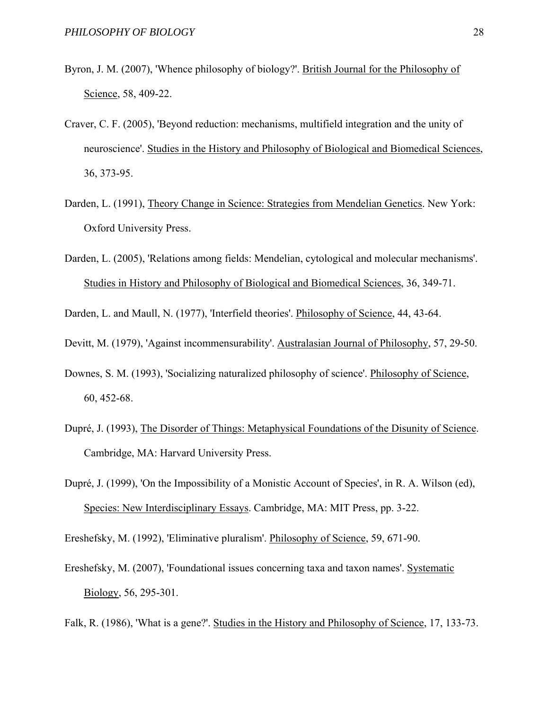- Byron, J. M. (2007), 'Whence philosophy of biology?'. British Journal for the Philosophy of Science, 58, 409-22.
- Craver, C. F. (2005), 'Beyond reduction: mechanisms, multifield integration and the unity of neuroscience'. Studies in the History and Philosophy of Biological and Biomedical Sciences, 36, 373-95.
- Darden, L. (1991), Theory Change in Science: Strategies from Mendelian Genetics. New York: Oxford University Press.
- Darden, L. (2005), 'Relations among fields: Mendelian, cytological and molecular mechanisms'. Studies in History and Philosophy of Biological and Biomedical Sciences, 36, 349-71.

Darden, L. and Maull, N. (1977), 'Interfield theories'. Philosophy of Science, 44, 43-64.

Devitt, M. (1979), 'Against incommensurability'. Australasian Journal of Philosophy, 57, 29-50.

- Downes, S. M. (1993), 'Socializing naturalized philosophy of science'. Philosophy of Science, 60, 452-68.
- Dupré, J. (1993), The Disorder of Things: Metaphysical Foundations of the Disunity of Science. Cambridge, MA: Harvard University Press.
- Dupré, J. (1999), 'On the Impossibility of a Monistic Account of Species', in R. A. Wilson (ed), Species: New Interdisciplinary Essays. Cambridge, MA: MIT Press, pp. 3-22.

Ereshefsky, M. (1992), 'Eliminative pluralism'. Philosophy of Science, 59, 671-90.

- Ereshefsky, M. (2007), 'Foundational issues concerning taxa and taxon names'. Systematic Biology, 56, 295-301.
- Falk, R. (1986), 'What is a gene?'. Studies in the History and Philosophy of Science, 17, 133-73.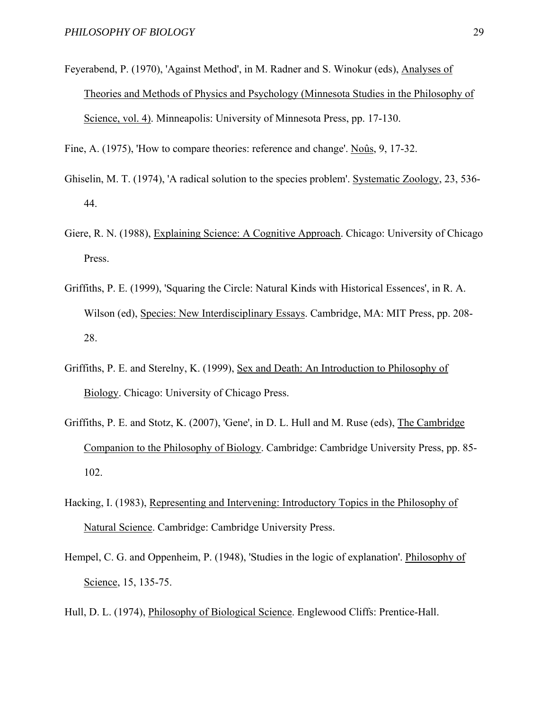Feyerabend, P. (1970), 'Against Method', in M. Radner and S. Winokur (eds), Analyses of Theories and Methods of Physics and Psychology (Minnesota Studies in the Philosophy of Science, vol. 4). Minneapolis: University of Minnesota Press, pp. 17-130.

Fine, A. (1975), 'How to compare theories: reference and change'. Noûs, 9, 17-32.

- Ghiselin, M. T. (1974), 'A radical solution to the species problem'. Systematic Zoology, 23, 536- 44.
- Giere, R. N. (1988), Explaining Science: A Cognitive Approach. Chicago: University of Chicago Press.
- Griffiths, P. E. (1999), 'Squaring the Circle: Natural Kinds with Historical Essences', in R. A. Wilson (ed), Species: New Interdisciplinary Essays. Cambridge, MA: MIT Press, pp. 208- 28.
- Griffiths, P. E. and Sterelny, K. (1999), Sex and Death: An Introduction to Philosophy of Biology. Chicago: University of Chicago Press.
- Griffiths, P. E. and Stotz, K. (2007), 'Gene', in D. L. Hull and M. Ruse (eds), The Cambridge Companion to the Philosophy of Biology. Cambridge: Cambridge University Press, pp. 85- 102.
- Hacking, I. (1983), Representing and Intervening: Introductory Topics in the Philosophy of Natural Science. Cambridge: Cambridge University Press.
- Hempel, C. G. and Oppenheim, P. (1948), 'Studies in the logic of explanation'. Philosophy of Science, 15, 135-75.
- Hull, D. L. (1974), Philosophy of Biological Science. Englewood Cliffs: Prentice-Hall.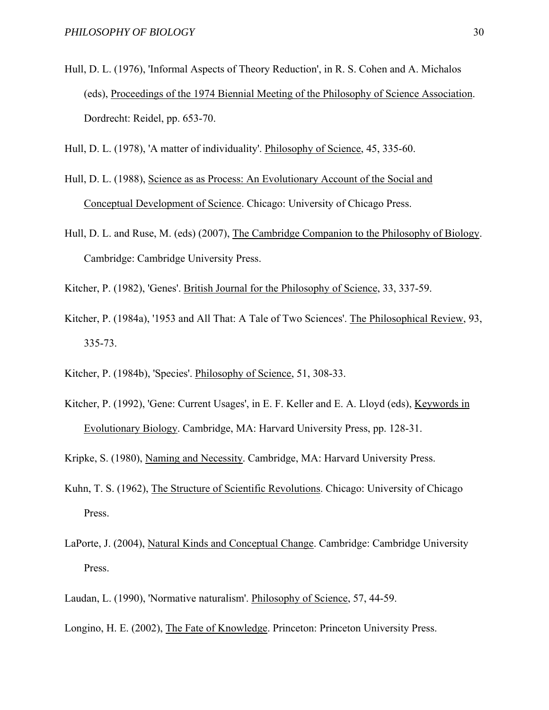Hull, D. L. (1976), 'Informal Aspects of Theory Reduction', in R. S. Cohen and A. Michalos (eds), Proceedings of the 1974 Biennial Meeting of the Philosophy of Science Association. Dordrecht: Reidel, pp. 653-70.

Hull, D. L. (1978), 'A matter of individuality'. Philosophy of Science, 45, 335-60.

- Hull, D. L. (1988), Science as as Process: An Evolutionary Account of the Social and Conceptual Development of Science. Chicago: University of Chicago Press.
- Hull, D. L. and Ruse, M. (eds) (2007), The Cambridge Companion to the Philosophy of Biology. Cambridge: Cambridge University Press.

Kitcher, P. (1982), 'Genes'. British Journal for the Philosophy of Science, 33, 337-59.

- Kitcher, P. (1984a), '1953 and All That: A Tale of Two Sciences'. The Philosophical Review, 93, 335-73.
- Kitcher, P. (1984b), 'Species'. Philosophy of Science, 51, 308-33.
- Kitcher, P. (1992), 'Gene: Current Usages', in E. F. Keller and E. A. Lloyd (eds), Keywords in Evolutionary Biology. Cambridge, MA: Harvard University Press, pp. 128-31.

Kripke, S. (1980), Naming and Necessity. Cambridge, MA: Harvard University Press.

- Kuhn, T. S. (1962), The Structure of Scientific Revolutions. Chicago: University of Chicago Press.
- LaPorte, J. (2004), Natural Kinds and Conceptual Change. Cambridge: Cambridge University Press.
- Laudan, L. (1990), 'Normative naturalism'. Philosophy of Science, 57, 44-59.

Longino, H. E. (2002), The Fate of Knowledge. Princeton: Princeton University Press.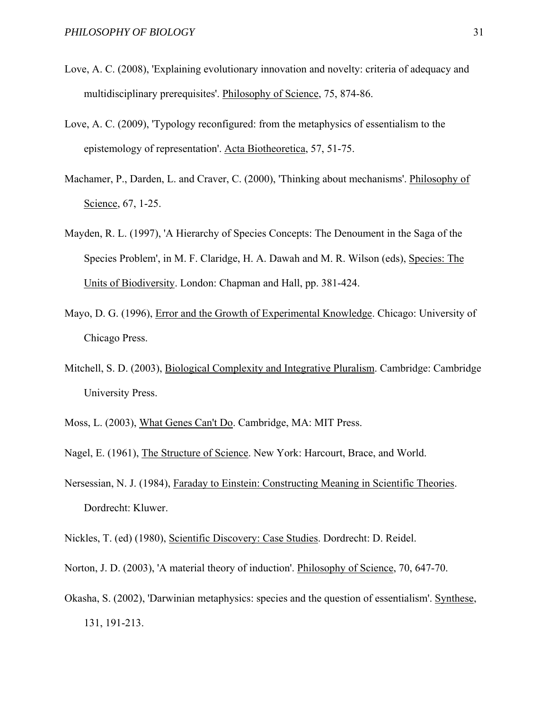- Love, A. C. (2008), 'Explaining evolutionary innovation and novelty: criteria of adequacy and multidisciplinary prerequisites'. Philosophy of Science, 75, 874-86.
- Love, A. C. (2009), 'Typology reconfigured: from the metaphysics of essentialism to the epistemology of representation'. Acta Biotheoretica, 57, 51-75.
- Machamer, P., Darden, L. and Craver, C. (2000), 'Thinking about mechanisms'. Philosophy of Science, 67, 1-25.
- Mayden, R. L. (1997), 'A Hierarchy of Species Concepts: The Denoument in the Saga of the Species Problem', in M. F. Claridge, H. A. Dawah and M. R. Wilson (eds), Species: The Units of Biodiversity. London: Chapman and Hall, pp. 381-424.
- Mayo, D. G. (1996), Error and the Growth of Experimental Knowledge. Chicago: University of Chicago Press.
- Mitchell, S. D. (2003), Biological Complexity and Integrative Pluralism. Cambridge: Cambridge University Press.
- Moss, L. (2003), What Genes Can't Do. Cambridge, MA: MIT Press.
- Nagel, E. (1961), The Structure of Science. New York: Harcourt, Brace, and World.
- Nersessian, N. J. (1984), Faraday to Einstein: Constructing Meaning in Scientific Theories. Dordrecht: Kluwer.
- Nickles, T. (ed) (1980), Scientific Discovery: Case Studies. Dordrecht: D. Reidel.
- Norton, J. D. (2003), 'A material theory of induction'. Philosophy of Science, 70, 647-70.
- Okasha, S. (2002), 'Darwinian metaphysics: species and the question of essentialism'. Synthese, 131, 191-213.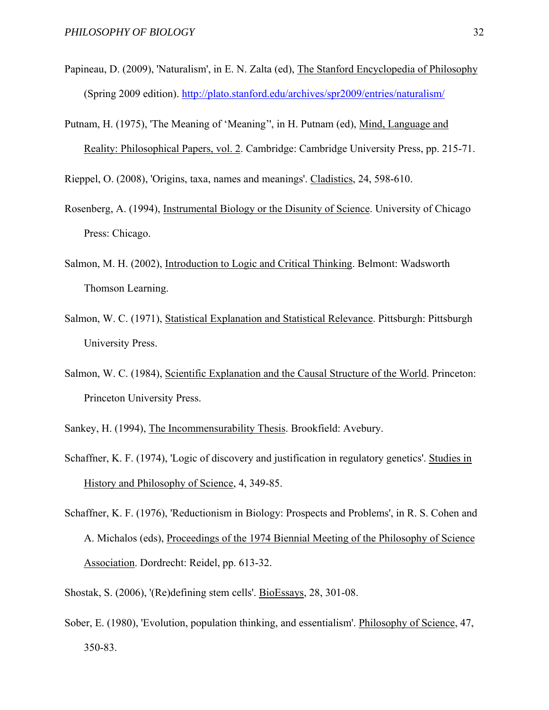- Papineau, D. (2009), 'Naturalism', in E. N. Zalta (ed), The Stanford Encyclopedia of Philosophy (Spring 2009 edition). http://plato.stanford.edu/archives/spr2009/entries/naturalism/
- Putnam, H. (1975), 'The Meaning of 'Meaning'', in H. Putnam (ed), Mind, Language and Reality: Philosophical Papers, vol. 2. Cambridge: Cambridge University Press, pp. 215-71.

Rieppel, O. (2008), 'Origins, taxa, names and meanings'. Cladistics, 24, 598-610.

- Rosenberg, A. (1994), Instrumental Biology or the Disunity of Science. University of Chicago Press: Chicago.
- Salmon, M. H. (2002), Introduction to Logic and Critical Thinking. Belmont: Wadsworth Thomson Learning.
- Salmon, W. C. (1971), Statistical Explanation and Statistical Relevance. Pittsburgh: Pittsburgh University Press.
- Salmon, W. C. (1984), Scientific Explanation and the Causal Structure of the World. Princeton: Princeton University Press.

Sankey, H. (1994), The Incommensurability Thesis. Brookfield: Avebury.

- Schaffner, K. F. (1974), 'Logic of discovery and justification in regulatory genetics'. Studies in History and Philosophy of Science, 4, 349-85.
- Schaffner, K. F. (1976), 'Reductionism in Biology: Prospects and Problems', in R. S. Cohen and A. Michalos (eds), Proceedings of the 1974 Biennial Meeting of the Philosophy of Science Association. Dordrecht: Reidel, pp. 613-32.
- Shostak, S. (2006), '(Re)defining stem cells'. BioEssays, 28, 301-08.
- Sober, E. (1980), 'Evolution, population thinking, and essentialism'. Philosophy of Science, 47, 350-83.